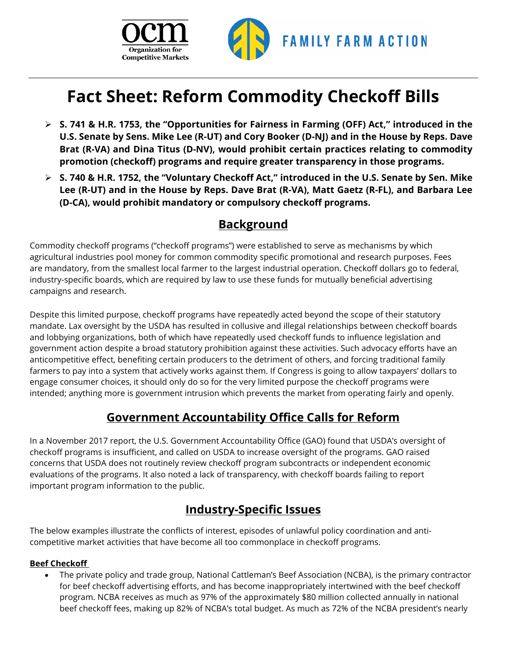



# **Fact Sheet: Reform Commodity Checkoff Bills**

- **S. 741 & H.R. 1753, the "Opportunities for Fairness in Farming (OFF) Act," introduced in the U.S. Senate by Sens. Mike Lee (R-UT) and Cory Booker (D-NJ) and in the House by Reps. Dave Brat (R-VA) and Dina Titus (D-NV), would prohibit certain practices relating to commodity promotion (checkoff) programs and require greater transparency in those programs.**
- **S. 740 & H.R. 1752, the "Voluntary Checkoff Act," introduced in the U.S. Senate by Sen. Mike Lee (R-UT) and in the House by Reps. Dave Brat (R-VA), Matt Gaetz (R-FL), and Barbara Lee (D-CA), would prohibit mandatory or compulsory checkoff programs.**

### **Background**

Commodity checkoff programs ("checkoff programs") were established to serve as mechanisms by which agricultural industries pool money for common commodity specific promotional and research purposes. Fees are mandatory, from the smallest local farmer to the largest industrial operation. Checkoff dollars go to federal, industry-specific boards, which are required by law to use these funds for mutually beneficial advertising campaigns and research.

Despite this limited purpose, checkoff programs have repeatedly acted beyond the scope of their statutory mandate. Lax oversight by the USDA has resulted in collusive and illegal relationships between checkoff boards and lobbying organizations, both of which have repeatedly used checkoff funds to influence legislation and government action despite a broad statutory prohibition against these activities. Such advocacy efforts have an anticompetitive effect, benefiting certain producers to the detriment of others, and forcing traditional family farmers to pay into a system that actively works against them. If Congress is going to allow taxpayers' dollars to engage consumer choices, it should only do so for the very limited purpose the checkoff programs were intended; anything more is government intrusion which prevents the market from operating fairly and openly.

## **Government Accountability Office Calls for Reform**

In a November 2017 report, the U.S. Government Accountability Office (GAO) found that USDA's oversight of checkoff programs is insufficient, and called on USDA to increase oversight of the programs. GAO raised concerns that USDA does not routinely review checkoff program subcontracts or independent economic evaluations of the programs. It also noted a lack of transparency, with checkoff boards failing to report important program information to the public.

# **Industry-Specific Issues**

The below examples illustrate the conflicts of interest, episodes of unlawful policy coordination and anticompetitive market activities that have become all too commonplace in checkoff programs.

#### **Beef Checkoff**

• The private policy and trade group, National Cattleman's Beef Association (NCBA), is the primary contractor for beef checkoff advertising efforts, and has become inappropriately intertwined with the beef checkoff program. NCBA receives as much as 97% of the approximately \$80 million collected annually in national beef checkoff fees, making up 82% of NCBA's total budget. As much as 72% of the NCBA president's nearly